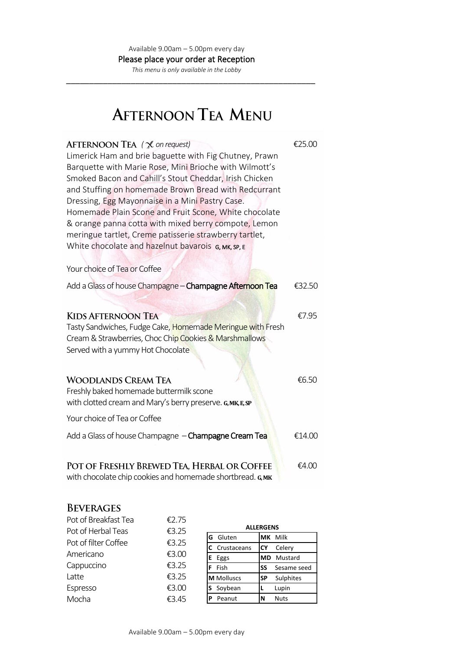\_\_\_\_\_\_\_\_\_\_\_\_\_\_\_\_\_\_\_\_\_\_\_\_\_\_\_\_\_\_\_\_\_\_\_\_\_\_\_\_\_\_\_\_\_\_\_\_\_\_\_\_\_\_

# **AFTERNOON TEA MENU**

| AFTERNOON TEA $(\mathbb{X})$ on request)<br>Limerick Ham and brie baguette with Fig Chutney, Prawn<br>Barquette with Marie Rose, Mini Brioche with Wilmott's<br>Smoked Bacon and Cahill's Stout Cheddar, Irish Chicken<br>and Stuffing on homemade Brown Bread with Redcurrant<br>Dressing, Egg Mayonnaise in a Mini Pastry Case.<br>Homemade Plain Scone and Fruit Scone, White chocolate<br>& orange panna cotta with mixed berry compote, Lemon<br>meringue tartlet, Creme patisserie strawberry tartlet,<br>White chocolate and hazelnut bavarois G, MK, SP, E | €25.00 |
|--------------------------------------------------------------------------------------------------------------------------------------------------------------------------------------------------------------------------------------------------------------------------------------------------------------------------------------------------------------------------------------------------------------------------------------------------------------------------------------------------------------------------------------------------------------------|--------|
| Your choice of Tea or Coffee                                                                                                                                                                                                                                                                                                                                                                                                                                                                                                                                       |        |
| Add a Glass of house Champagne - Champagne Afternoon Tea                                                                                                                                                                                                                                                                                                                                                                                                                                                                                                           | €32.50 |
|                                                                                                                                                                                                                                                                                                                                                                                                                                                                                                                                                                    |        |
| <b>KIDS AFTERNOON TEA</b><br>Tasty Sandwiches, Fudge Cake, Homemade Meringue with Fresh<br>Cream & Strawberries, Choc Chip Cookies & Marshmallows<br>Served with a yummy Hot Chocolate                                                                                                                                                                                                                                                                                                                                                                             | €7.95  |
| <b>WOODLANDS CREAM TEA</b><br>Freshly baked homemade buttermilk scone<br>with clotted cream and Mary's berry preserve. G, MK, E, SP                                                                                                                                                                                                                                                                                                                                                                                                                                | €6.50  |
| Your choice of Tea or Coffee                                                                                                                                                                                                                                                                                                                                                                                                                                                                                                                                       |        |
| Add a Glass of house Champagne - Champagne Cream Tea                                                                                                                                                                                                                                                                                                                                                                                                                                                                                                               | €14.00 |
| POT OF FRESHLY BREWED TEA, HERBAL OR COFFEE<br>with chocolate chip cookies and homemade shortbread. G, MK                                                                                                                                                                                                                                                                                                                                                                                                                                                          | €4.00  |

## **BEVERAGES**

| Pot of Breakfast Tea | €2.75 |                   |                        |
|----------------------|-------|-------------------|------------------------|
| Pot of Herbal Teas   | €3.25 |                   | <b>ALLERGENS</b>       |
| Pot of filter Coffee | €3.25 | Gluten<br>G       | <b>IMK Milk</b>        |
|                      |       | Crustaceans       | Celery<br>ICY          |
| Americano            | €3.00 | E Eggs            | Mustard<br><b>MD</b>   |
| Cappuccino           | €3.25 | Fish<br>F         | Sesame seed<br>SS      |
| Latte                | €3.25 | <b>M</b> Molluscs | Sulphites<br><b>SP</b> |
| Espresso             | €3.00 | Soybean           | Lupin                  |
| Mocha                | €3.45 | Peanut<br>P       | <b>Nuts</b><br>N       |